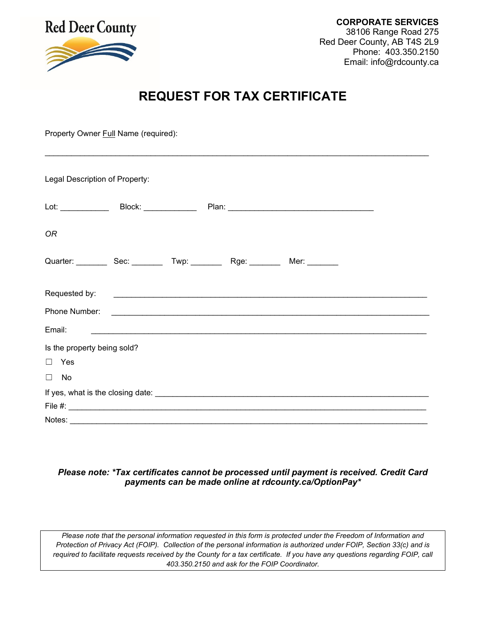

# **REQUEST FOR TAX CERTIFICATE**

Property Owner Full Name (required): \_\_\_\_\_\_\_\_\_\_\_\_\_\_\_\_\_\_\_\_\_\_\_\_\_\_\_\_\_\_\_\_\_\_\_\_\_\_\_\_\_\_\_\_\_\_\_\_\_\_\_\_\_\_\_\_\_\_\_\_\_\_\_\_\_\_\_\_\_\_\_\_\_\_\_\_\_\_\_\_\_\_\_\_\_\_\_ Legal Description of Property: Lot: \_\_\_\_\_\_\_\_\_\_\_\_\_\_ Block: \_\_\_\_\_\_\_\_\_\_\_\_\_\_\_ Plan: \_\_\_\_\_\_\_\_\_\_\_\_\_\_\_\_\_\_\_\_\_\_\_\_\_\_\_\_\_\_\_ *OR* Quarter: \_\_\_\_\_\_\_\_\_ Sec: \_\_\_\_\_\_\_\_ Twp: \_\_\_\_\_\_\_\_ Rge: \_\_\_\_\_\_\_\_ Mer: \_\_\_\_\_\_\_\_ Requested by: Phone Number: \_\_\_\_\_\_\_\_\_\_\_\_\_\_\_\_\_\_\_\_\_\_\_\_\_\_\_\_\_\_\_\_\_\_\_\_\_\_\_\_\_\_\_\_\_\_\_\_\_\_\_\_\_\_\_\_\_\_\_\_\_\_\_\_\_\_\_\_\_\_\_\_ Email: \_\_\_\_\_\_\_\_\_\_\_\_\_\_\_\_\_\_\_\_\_\_\_\_\_\_\_\_\_\_\_\_\_\_\_\_\_\_\_\_\_\_\_\_\_\_\_\_\_\_\_\_\_\_\_\_\_\_\_\_\_\_\_\_\_\_\_\_\_\_\_\_\_\_\_\_ Is the property being sold? ☐ Yes ☐ No If yes, what is the closing date: \_\_\_\_\_\_\_\_\_\_\_\_\_\_\_\_\_\_\_\_\_\_\_\_\_\_\_\_\_\_\_\_\_\_\_\_\_\_\_\_\_\_\_\_\_\_\_\_\_\_\_\_\_\_\_\_\_\_\_\_\_\_ File  $\#$ : Notes: \_\_\_\_\_\_\_\_\_\_\_\_\_\_\_\_\_\_\_\_\_\_\_\_\_\_\_\_\_\_\_\_\_\_\_\_\_\_\_\_\_\_\_\_\_\_\_\_\_\_\_\_\_\_\_\_\_\_\_\_\_\_\_\_\_\_\_\_\_\_\_\_\_\_\_\_\_\_\_\_\_

## *Please note: \*Tax certificates cannot be processed until payment is received. Credit Card payments can be made online at rdcounty.ca/OptionPay\**

*Please note that the personal information requested in this form is protected under the Freedom of Information and Protection of Privacy Act (FOIP). Collection of the personal information is authorized under FOIP, Section 33(c) and is required to facilitate requests received by the County for a tax certificate. If you have any questions regarding FOIP, call 403.350.2150 and ask for the FOIP Coordinator.*